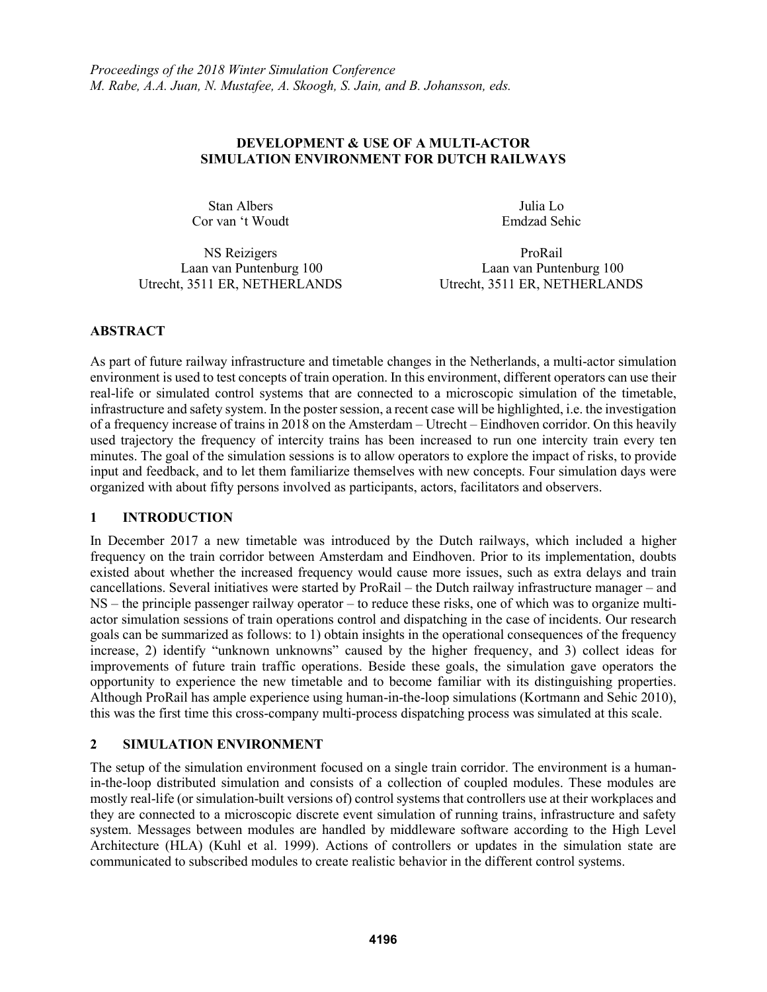### **DEVELOPMENT & USE OF A MULTI-ACTOR SIMULATION ENVIRONMENT FOR DUTCH RAILWAYS**

Stan Albers Cor van 't Woudt

Julia Lo Emdzad Sehic

NS Reizigers ProRail Utrecht, 3511 ER, NETHERLANDS

Laan van Puntenburg 100 Laan van Puntenburg 100

# **ABSTRACT**

As part of future railway infrastructure and timetable changes in the Netherlands, a multi-actor simulation environment is used to test concepts of train operation. In this environment, different operators can use their real-life or simulated control systems that are connected to a microscopic simulation of the timetable, infrastructure and safety system. In the poster session, a recent case will be highlighted, i.e. the investigation of a frequency increase of trains in 2018 on the Amsterdam – Utrecht – Eindhoven corridor. On this heavily used trajectory the frequency of intercity trains has been increased to run one intercity train every ten minutes. The goal of the simulation sessions is to allow operators to explore the impact of risks, to provide input and feedback, and to let them familiarize themselves with new concepts. Four simulation days were organized with about fifty persons involved as participants, actors, facilitators and observers.

# **1 INTRODUCTION**

In December 2017 a new timetable was introduced by the Dutch railways, which included a higher frequency on the train corridor between Amsterdam and Eindhoven. Prior to its implementation, doubts existed about whether the increased frequency would cause more issues, such as extra delays and train cancellations. Several initiatives were started by ProRail – the Dutch railway infrastructure manager – and NS – the principle passenger railway operator – to reduce these risks, one of which was to organize multiactor simulation sessions of train operations control and dispatching in the case of incidents. Our research goals can be summarized as follows: to 1) obtain insights in the operational consequences of the frequency increase, 2) identify "unknown unknowns" caused by the higher frequency, and 3) collect ideas for improvements of future train traffic operations. Beside these goals, the simulation gave operators the opportunity to experience the new timetable and to become familiar with its distinguishing properties. Although ProRail has ample experience using human-in-the-loop simulations (Kortmann and Sehic 2010), this was the first time this cross-company multi-process dispatching process was simulated at this scale.

# **2 SIMULATION ENVIRONMENT**

The setup of the simulation environment focused on a single train corridor. The environment is a humanin-the-loop distributed simulation and consists of a collection of coupled modules. These modules are mostly real-life (or simulation-built versions of) control systems that controllers use at their workplaces and they are connected to a microscopic discrete event simulation of running trains, infrastructure and safety system. Messages between modules are handled by middleware software according to the High Level Architecture (HLA) (Kuhl et al. 1999). Actions of controllers or updates in the simulation state are communicated to subscribed modules to create realistic behavior in the different control systems.